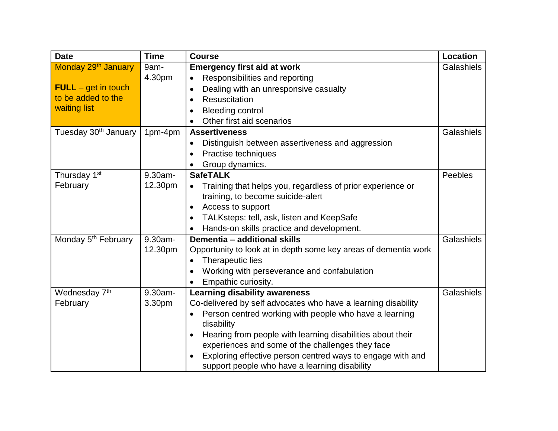| <b>Date</b>                      | <b>Time</b> | <b>Course</b>                                                           | Location   |
|----------------------------------|-------------|-------------------------------------------------------------------------|------------|
| Monday 29 <sup>th</sup> January  | 9am-        | <b>Emergency first aid at work</b>                                      | Galashiels |
|                                  | 4.30pm      | Responsibilities and reporting<br>$\bullet$                             |            |
| $FULL - get$ in touch            |             | Dealing with an unresponsive casualty<br>$\bullet$                      |            |
| to be added to the               |             | <b>Resuscitation</b><br>$\bullet$                                       |            |
| waiting list                     |             | <b>Bleeding control</b>                                                 |            |
|                                  |             | Other first aid scenarios                                               |            |
| Tuesday 30 <sup>th</sup> January | 1pm-4pm     | <b>Assertiveness</b>                                                    | Galashiels |
|                                  |             | Distinguish between assertiveness and aggression<br>$\bullet$           |            |
|                                  |             | Practise techniques<br>$\bullet$                                        |            |
|                                  |             | Group dynamics.                                                         |            |
| Thursday 1 <sup>st</sup>         | 9.30am-     | <b>SafeTALK</b>                                                         | Peebles    |
| February                         | 12.30pm     | Training that helps you, regardless of prior experience or<br>$\bullet$ |            |
|                                  |             | training, to become suicide-alert                                       |            |
|                                  |             | Access to support<br>$\bullet$                                          |            |
|                                  |             | TALKsteps: tell, ask, listen and KeepSafe                               |            |
|                                  |             | Hands-on skills practice and development.                               |            |
| Monday 5 <sup>th</sup> February  | $9.30am -$  | Dementia - additional skills                                            | Galashiels |
|                                  | 12.30pm     | Opportunity to look at in depth some key areas of dementia work         |            |
|                                  |             | Therapeutic lies                                                        |            |
|                                  |             | Working with perseverance and confabulation                             |            |
|                                  |             | Empathic curiosity.                                                     |            |
| Wednesday 7 <sup>th</sup>        | 9.30am-     | <b>Learning disability awareness</b>                                    | Galashiels |
| February                         | 3.30pm      | Co-delivered by self advocates who have a learning disability           |            |
|                                  |             | Person centred working with people who have a learning                  |            |
|                                  |             | disability                                                              |            |
|                                  |             | Hearing from people with learning disabilities about their<br>$\bullet$ |            |
|                                  |             | experiences and some of the challenges they face                        |            |
|                                  |             | Exploring effective person centred ways to engage with and              |            |
|                                  |             | support people who have a learning disability                           |            |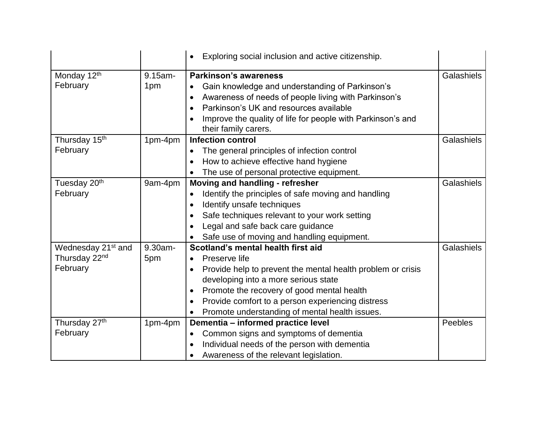|                                |            | Exploring social inclusion and active citizenship.                                               |            |
|--------------------------------|------------|--------------------------------------------------------------------------------------------------|------------|
| Monday 12th                    | $9.15$ am- | <b>Parkinson's awareness</b>                                                                     | Galashiels |
| February                       | 1pm        | Gain knowledge and understanding of Parkinson's<br>$\bullet$                                     |            |
|                                |            | Awareness of needs of people living with Parkinson's<br>$\bullet$                                |            |
|                                |            | Parkinson's UK and resources available<br>$\bullet$                                              |            |
|                                |            |                                                                                                  |            |
|                                |            | Improve the quality of life for people with Parkinson's and<br>$\bullet$<br>their family carers. |            |
| Thursday 15 <sup>th</sup>      | 1pm-4pm    | <b>Infection control</b>                                                                         | Galashiels |
| February                       |            | The general principles of infection control<br>$\bullet$                                         |            |
|                                |            | How to achieve effective hand hygiene                                                            |            |
|                                |            | The use of personal protective equipment.                                                        |            |
| Tuesday 20 <sup>th</sup>       | 9am-4pm    | Moving and handling - refresher                                                                  | Galashiels |
| February                       |            | Identify the principles of safe moving and handling<br>$\bullet$                                 |            |
|                                |            | Identify unsafe techniques<br>$\bullet$                                                          |            |
|                                |            | Safe techniques relevant to your work setting<br>$\bullet$                                       |            |
|                                |            | Legal and safe back care guidance<br>$\bullet$                                                   |            |
|                                |            | Safe use of moving and handling equipment.                                                       |            |
| Wednesday 21 <sup>st</sup> and | 9.30am-    | Scotland's mental health first aid                                                               | Galashiels |
| Thursday 22 <sup>nd</sup>      | 5pm        | Preserve life<br>$\bullet$                                                                       |            |
| February                       |            | Provide help to prevent the mental health problem or crisis<br>$\bullet$                         |            |
|                                |            | developing into a more serious state                                                             |            |
|                                |            | Promote the recovery of good mental health<br>$\bullet$                                          |            |
|                                |            | Provide comfort to a person experiencing distress<br>$\bullet$                                   |            |
|                                |            | Promote understanding of mental health issues.                                                   |            |
| Thursday 27th                  | 1pm-4pm    | Dementia - informed practice level                                                               | Peebles    |
| February                       |            | Common signs and symptoms of dementia<br>$\bullet$                                               |            |
|                                |            | Individual needs of the person with dementia                                                     |            |
|                                |            | Awareness of the relevant legislation.                                                           |            |